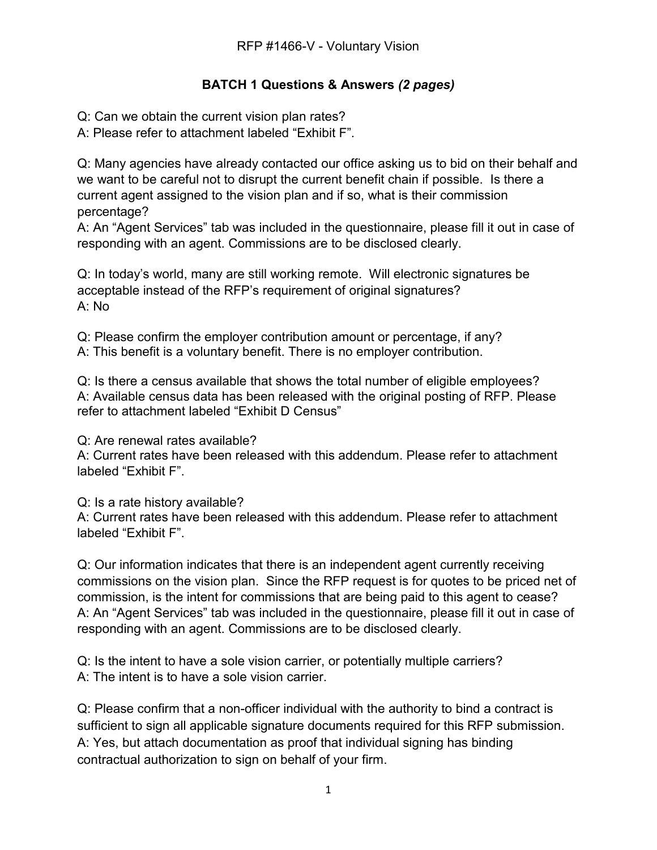## **BATCH 1 Questions & Answers** *(2 pages)*

Q: Can we obtain the current vision plan rates?

A: Please refer to attachment labeled "Exhibit F".

Q: Many agencies have already contacted our office asking us to bid on their behalf and we want to be careful not to disrupt the current benefit chain if possible. Is there a current agent assigned to the vision plan and if so, what is their commission percentage?

A: An "Agent Services" tab was included in the questionnaire, please fill it out in case of responding with an agent. Commissions are to be disclosed clearly.

Q: In today's world, many are still working remote. Will electronic signatures be acceptable instead of the RFP's requirement of original signatures? A: No

Q: Please confirm the employer contribution amount or percentage, if any? A: This benefit is a voluntary benefit. There is no employer contribution.

Q: Is there a census available that shows the total number of eligible employees? A: Available census data has been released with the original posting of RFP. Please refer to attachment labeled "Exhibit D Census"

Q: Are renewal rates available?

A: Current rates have been released with this addendum. Please refer to attachment labeled "Exhibit F".

Q: Is a rate history available?

A: Current rates have been released with this addendum. Please refer to attachment labeled "Exhibit F".

Q: Our information indicates that there is an independent agent currently receiving commissions on the vision plan. Since the RFP request is for quotes to be priced net of commission, is the intent for commissions that are being paid to this agent to cease? A: An "Agent Services" tab was included in the questionnaire, please fill it out in case of responding with an agent. Commissions are to be disclosed clearly.

Q: Is the intent to have a sole vision carrier, or potentially multiple carriers? A: The intent is to have a sole vision carrier.

Q: Please confirm that a non-officer individual with the authority to bind a contract is sufficient to sign all applicable signature documents required for this RFP submission. A: Yes, but attach documentation as proof that individual signing has binding contractual authorization to sign on behalf of your firm.